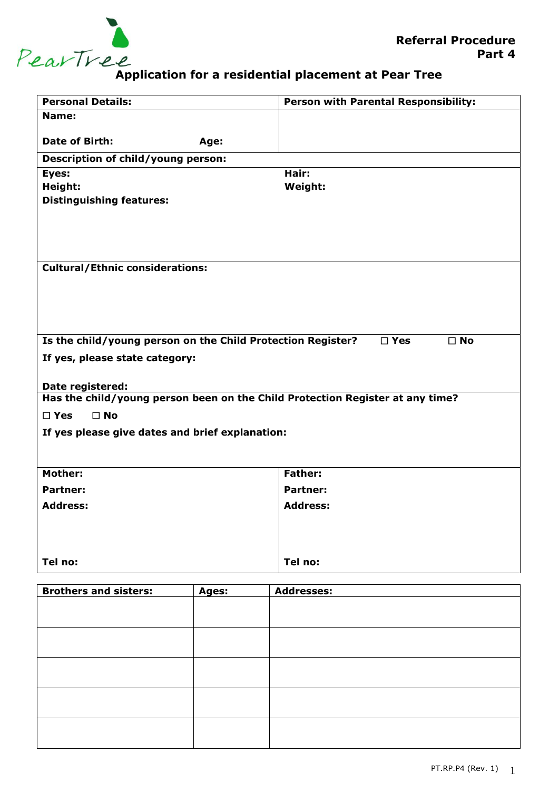

## **Application for a residential placement at Pear Tree**

| <b>Personal Details:</b>                                                      | Person with Parental Responsibility: |  |  |  |
|-------------------------------------------------------------------------------|--------------------------------------|--|--|--|
| Name:                                                                         |                                      |  |  |  |
| <b>Date of Birth:</b>                                                         |                                      |  |  |  |
| Age:                                                                          |                                      |  |  |  |
| Description of child/young person:                                            |                                      |  |  |  |
| Eyes:                                                                         | Hair:                                |  |  |  |
| Height:<br><b>Distinguishing features:</b>                                    | <b>Weight:</b>                       |  |  |  |
|                                                                               |                                      |  |  |  |
|                                                                               |                                      |  |  |  |
|                                                                               |                                      |  |  |  |
|                                                                               |                                      |  |  |  |
| <b>Cultural/Ethnic considerations:</b>                                        |                                      |  |  |  |
|                                                                               |                                      |  |  |  |
|                                                                               |                                      |  |  |  |
|                                                                               |                                      |  |  |  |
|                                                                               |                                      |  |  |  |
| Is the child/young person on the Child Protection Register?                   | $\square$ Yes<br>$\square$ No        |  |  |  |
| If yes, please state category:                                                |                                      |  |  |  |
|                                                                               |                                      |  |  |  |
| Date registered:                                                              |                                      |  |  |  |
| Has the child/young person been on the Child Protection Register at any time? |                                      |  |  |  |
| $\square$ No<br>$\square$ Yes                                                 |                                      |  |  |  |
| If yes please give dates and brief explanation:                               |                                      |  |  |  |
|                                                                               |                                      |  |  |  |
|                                                                               |                                      |  |  |  |
| <b>Mother:</b>                                                                | <b>Father:</b>                       |  |  |  |
| <b>Partner:</b>                                                               | <b>Partner:</b>                      |  |  |  |
| <b>Address:</b>                                                               | <b>Address:</b>                      |  |  |  |
|                                                                               |                                      |  |  |  |
|                                                                               |                                      |  |  |  |
|                                                                               |                                      |  |  |  |
| Tel no:                                                                       | Tel no:                              |  |  |  |
|                                                                               |                                      |  |  |  |

| <b>Brothers and sisters:</b> | Ages: | <b>Addresses:</b> |
|------------------------------|-------|-------------------|
|                              |       |                   |
|                              |       |                   |
|                              |       |                   |
|                              |       |                   |
|                              |       |                   |
|                              |       |                   |
|                              |       |                   |
|                              |       |                   |
|                              |       |                   |
|                              |       |                   |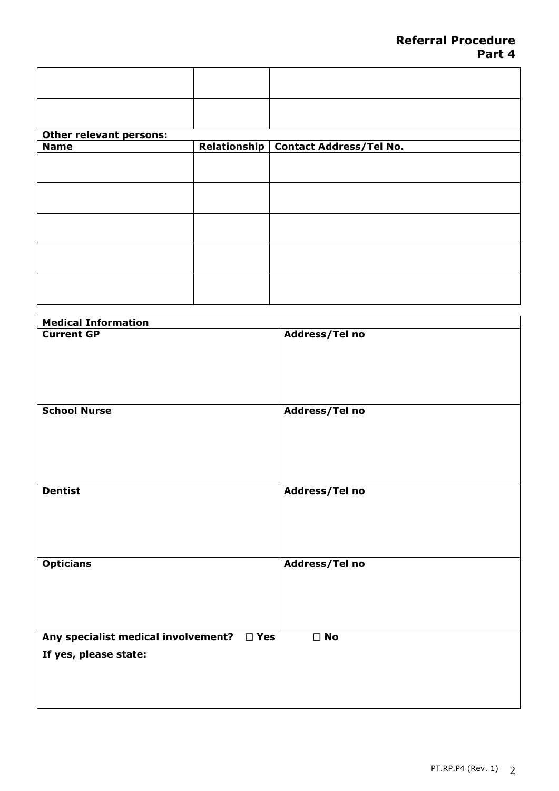| <b>Other relevant persons:</b> |                                        |
|--------------------------------|----------------------------------------|
| <b>Name</b>                    | Relationship   Contact Address/Tel No. |
|                                |                                        |
|                                |                                        |
|                                |                                        |
|                                |                                        |
|                                |                                        |

| <b>Medical Information</b>                           |                |
|------------------------------------------------------|----------------|
| <b>Current GP</b>                                    | Address/Tel no |
| <b>School Nurse</b>                                  | Address/Tel no |
| <b>Dentist</b>                                       | Address/Tel no |
| <b>Opticians</b>                                     | Address/Tel no |
| Any specialist medical involvement?<br>$\square$ Yes | $\square$ No   |
| If yes, please state:                                |                |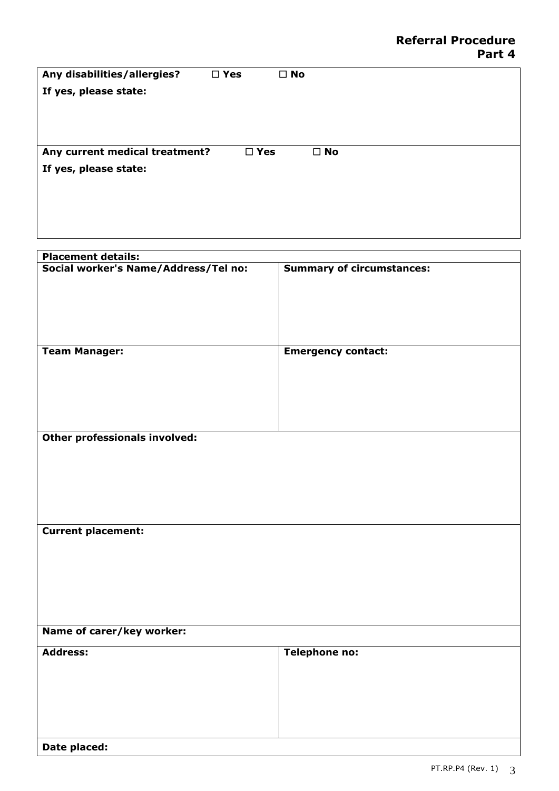| Any disabilities/allergies?    | $\square$ Yes | $\square$ No |
|--------------------------------|---------------|--------------|
| If yes, please state:          |               |              |
|                                |               |              |
|                                |               |              |
|                                |               |              |
| Any current medical treatment? | $\square$ Yes | $\square$ No |
| If yes, please state:          |               |              |
|                                |               |              |
|                                |               |              |
|                                |               |              |

| <b>Placement details:</b>            |                                  |
|--------------------------------------|----------------------------------|
| Social worker's Name/Address/Tel no: | <b>Summary of circumstances:</b> |
|                                      |                                  |
|                                      |                                  |
|                                      |                                  |
|                                      |                                  |
|                                      |                                  |
| <b>Team Manager:</b>                 | <b>Emergency contact:</b>        |
|                                      |                                  |
|                                      |                                  |
|                                      |                                  |
|                                      |                                  |
|                                      |                                  |
|                                      |                                  |
| Other professionals involved:        |                                  |
|                                      |                                  |
|                                      |                                  |
|                                      |                                  |
|                                      |                                  |
|                                      |                                  |
|                                      |                                  |
| <b>Current placement:</b>            |                                  |
|                                      |                                  |
|                                      |                                  |
|                                      |                                  |
|                                      |                                  |
|                                      |                                  |
|                                      |                                  |
|                                      |                                  |
| Name of carer/key worker:            |                                  |
| <b>Address:</b>                      | <b>Telephone no:</b>             |
|                                      |                                  |
|                                      |                                  |
|                                      |                                  |
|                                      |                                  |
|                                      |                                  |
|                                      |                                  |
|                                      |                                  |
| Date placed:                         |                                  |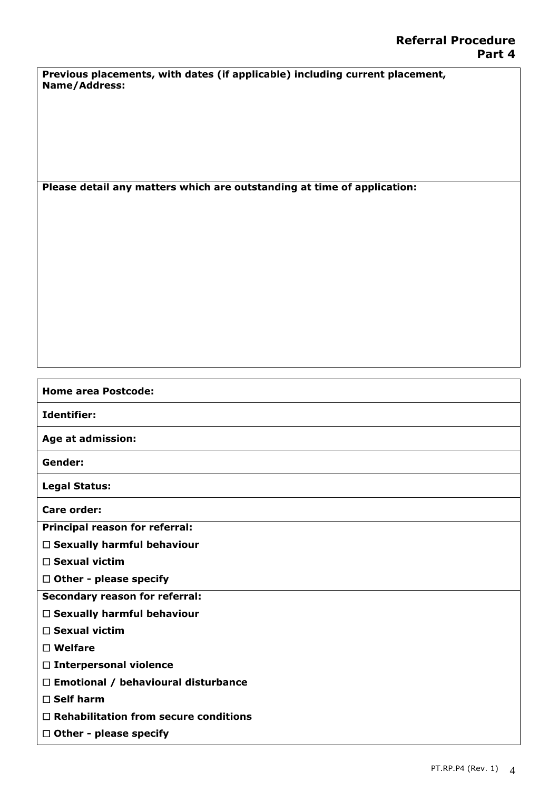**Previous placements, with dates (if applicable) including current placement, Name/Address:**

**Please detail any matters which are outstanding at time of application:**

## **Home area Postcode: Identifier: Age at admission: Gender: Legal Status: Care order: Principal reason for referral: Sexually harmful behaviour Sexual victim Other - please specify Secondary reason for referral: Sexually harmful behaviour Sexual victim Welfare Interpersonal violence Emotional / behavioural disturbance Self harm Rehabilitation from secure conditions Other - please specify**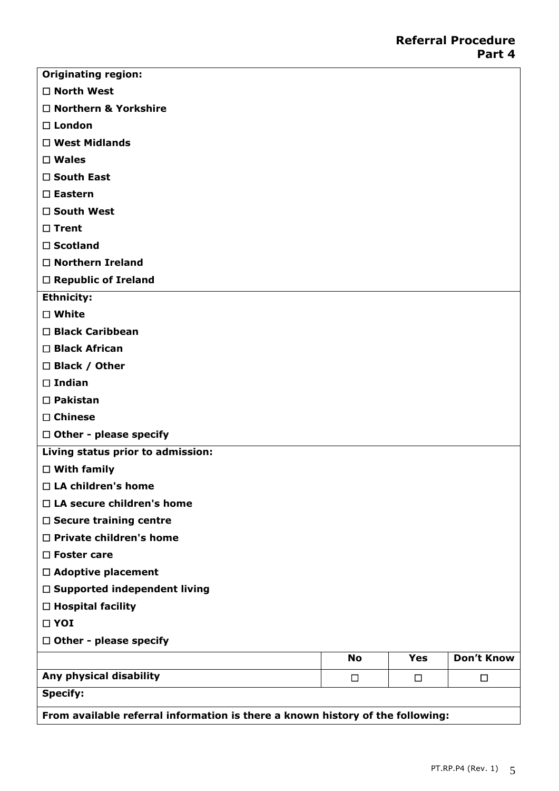| <b>Originating region:</b>                                                     |           |            |                   |
|--------------------------------------------------------------------------------|-----------|------------|-------------------|
| $\Box$ North West                                                              |           |            |                   |
| □ Northern & Yorkshire                                                         |           |            |                   |
| $\Box$ London                                                                  |           |            |                   |
| $\Box$ West Midlands                                                           |           |            |                   |
| $\square$ Wales                                                                |           |            |                   |
| $\square$ South East                                                           |           |            |                   |
| $\square$ Eastern                                                              |           |            |                   |
| □ South West                                                                   |           |            |                   |
| $\Box$ Trent                                                                   |           |            |                   |
| $\square$ Scotland                                                             |           |            |                   |
| $\Box$ Northern Ireland                                                        |           |            |                   |
| $\Box$ Republic of Ireland                                                     |           |            |                   |
| <b>Ethnicity:</b>                                                              |           |            |                   |
| $\square$ White                                                                |           |            |                   |
| □ Black Caribbean                                                              |           |            |                   |
| □ Black African                                                                |           |            |                   |
| □ Black / Other                                                                |           |            |                   |
| $\square$ Indian                                                               |           |            |                   |
| $\square$ Pakistan                                                             |           |            |                   |
| $\Box$ Chinese                                                                 |           |            |                   |
| $\Box$ Other - please specify                                                  |           |            |                   |
| Living status prior to admission:                                              |           |            |                   |
| $\Box$ With family                                                             |           |            |                   |
| $\Box$ LA children's home                                                      |           |            |                   |
| $\Box$ LA secure children's home                                               |           |            |                   |
| $\Box$ Secure training centre                                                  |           |            |                   |
| $\Box$ Private children's home                                                 |           |            |                   |
| $\square$ Foster care                                                          |           |            |                   |
| $\Box$ Adoptive placement                                                      |           |            |                   |
| $\Box$ Supported independent living                                            |           |            |                   |
| $\Box$ Hospital facility                                                       |           |            |                   |
| $\Box$ YOI                                                                     |           |            |                   |
| $\Box$ Other - please specify                                                  |           |            |                   |
|                                                                                | <b>No</b> | <b>Yes</b> | <b>Don't Know</b> |
| Any physical disability                                                        | $\Box$    | $\Box$     | $\Box$            |
| <b>Specify:</b>                                                                |           |            |                   |
| From available referral information is there a known history of the following: |           |            |                   |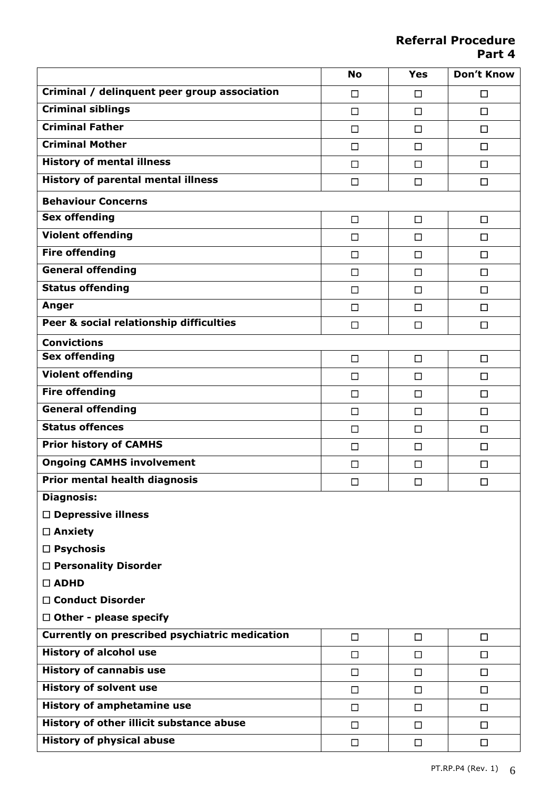**Referral Procedure Part 4**

|                                                | <b>No</b> | <b>Yes</b> | <b>Don't Know</b> |
|------------------------------------------------|-----------|------------|-------------------|
| Criminal / delinquent peer group association   | $\Box$    | $\Box$     | $\Box$            |
| Criminal siblings                              | $\Box$    | □          | $\Box$            |
| <b>Criminal Father</b>                         | □         | $\Box$     | $\Box$            |
| <b>Criminal Mother</b>                         | $\Box$    | $\Box$     | $\Box$            |
| <b>History of mental illness</b>               | $\Box$    | $\Box$     | $\Box$            |
| <b>History of parental mental illness</b>      | $\Box$    | $\Box$     | $\Box$            |
| <b>Behaviour Concerns</b>                      |           |            |                   |
| <b>Sex offending</b>                           | □         | $\Box$     | $\Box$            |
| <b>Violent offending</b>                       | □         | $\Box$     | $\Box$            |
| <b>Fire offending</b>                          | $\Box$    | □          | $\Box$            |
| <b>General offending</b>                       | □         | □          | $\Box$            |
| <b>Status offending</b>                        | □         | $\Box$     | $\Box$            |
| Anger                                          | $\Box$    | □          | $\Box$            |
| Peer & social relationship difficulties        | $\Box$    | $\Box$     | $\Box$            |
| <b>Convictions</b>                             |           |            |                   |
| <b>Sex offending</b>                           | $\Box$    | $\Box$     | $\Box$            |
| <b>Violent offending</b>                       | $\Box$    | □          | $\Box$            |
| <b>Fire offending</b>                          | $\Box$    | $\Box$     | $\Box$            |
| <b>General offending</b>                       | $\Box$    | $\Box$     | $\Box$            |
| <b>Status offences</b>                         | $\Box$    | $\Box$     | $\Box$            |
| <b>Prior history of CAMHS</b>                  | $\Box$    | □          | $\Box$            |
| <b>Ongoing CAMHS involvement</b>               | □         | □          | $\Box$            |
| <b>Prior mental health diagnosis</b>           | $\Box$    | □          | $\Box$            |
| <b>Diagnosis:</b>                              |           |            |                   |
| $\Box$ Depressive illness                      |           |            |                   |
| $\Box$ Anxiety                                 |           |            |                   |
| $\Box$ Psychosis                               |           |            |                   |
| □ Personality Disorder                         |           |            |                   |
| $\Box$ ADHD                                    |           |            |                   |
| □ Conduct Disorder                             |           |            |                   |
| $\Box$ Other - please specify                  |           |            |                   |
| Currently on prescribed psychiatric medication | $\Box$    | $\Box$     | $\Box$            |
| <b>History of alcohol use</b>                  | $\Box$    | $\Box$     | $\Box$            |
| <b>History of cannabis use</b>                 | $\Box$    | $\Box$     | $\Box$            |
| <b>History of solvent use</b>                  | $\Box$    | □          | $\Box$            |
| <b>History of amphetamine use</b>              | $\Box$    | $\Box$     | $\Box$            |
| History of other illicit substance abuse       | $\Box$    | $\Box$     | $\Box$            |
| <b>History of physical abuse</b>               | $\Box$    | $\Box$     | $\Box$            |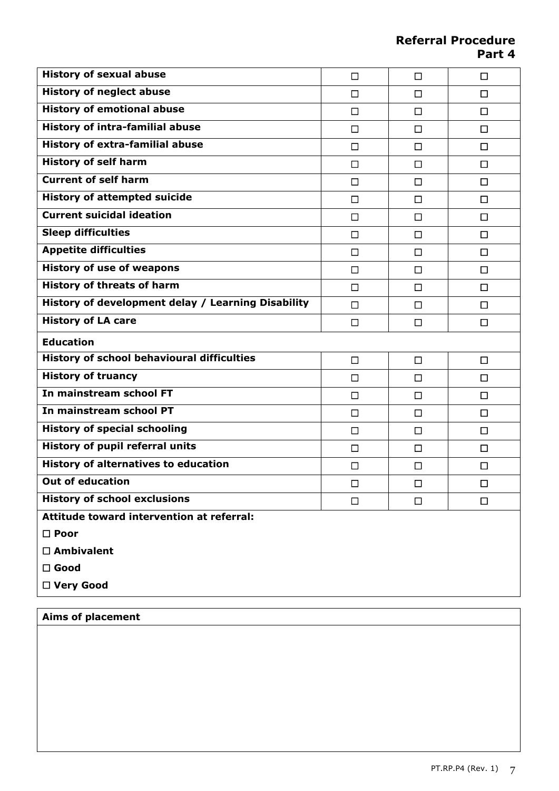**Referral Procedure Part 4**

| <b>History of sexual abuse</b>                     | □      | $\Box$ | $\Box$ |
|----------------------------------------------------|--------|--------|--------|
| <b>History of neglect abuse</b>                    | □      | $\Box$ | □      |
| <b>History of emotional abuse</b>                  | $\Box$ | □      | $\Box$ |
| <b>History of intra-familial abuse</b>             | □      | $\Box$ | □      |
| <b>History of extra-familial abuse</b>             | $\Box$ | □      | □      |
| <b>History of self harm</b>                        | $\Box$ | $\Box$ | $\Box$ |
| <b>Current of self harm</b>                        | □      | □      | $\Box$ |
| <b>History of attempted suicide</b>                | $\Box$ | □      | $\Box$ |
| <b>Current suicidal ideation</b>                   | □      | $\Box$ | □      |
| <b>Sleep difficulties</b>                          | □      | □      | □      |
| <b>Appetite difficulties</b>                       | □      | $\Box$ | $\Box$ |
| <b>History of use of weapons</b>                   | □      | □      | $\Box$ |
| <b>History of threats of harm</b>                  | □      | $\Box$ | $\Box$ |
| History of development delay / Learning Disability | □      | $\Box$ | $\Box$ |
| <b>History of LA care</b>                          | $\Box$ | $\Box$ | $\Box$ |
| <b>Education</b>                                   |        |        |        |
| <b>History of school behavioural difficulties</b>  | $\Box$ | $\Box$ | $\Box$ |
| <b>History of truancy</b>                          | □      | $\Box$ | $\Box$ |
| In mainstream school FT                            | $\Box$ | $\Box$ | $\Box$ |
| In mainstream school PT                            | $\Box$ | $\Box$ | $\Box$ |
| <b>History of special schooling</b>                | $\Box$ | $\Box$ | $\Box$ |
| <b>History of pupil referral units</b>             | $\Box$ | $\Box$ | $\Box$ |
| <b>History of alternatives to education</b>        | □      | □      | $\Box$ |
| <b>Out of education</b>                            | $\Box$ | $\Box$ | $\Box$ |
| <b>History of school exclusions</b>                | $\Box$ | $\Box$ | $\Box$ |
| Attitude toward intervention at referral:          |        |        |        |
| $\square$ Poor                                     |        |        |        |
| $\Box$ Ambivalent                                  |        |        |        |
| $\square$ Good                                     |        |        |        |
| □ Very Good                                        |        |        |        |

## **Aims of placement**